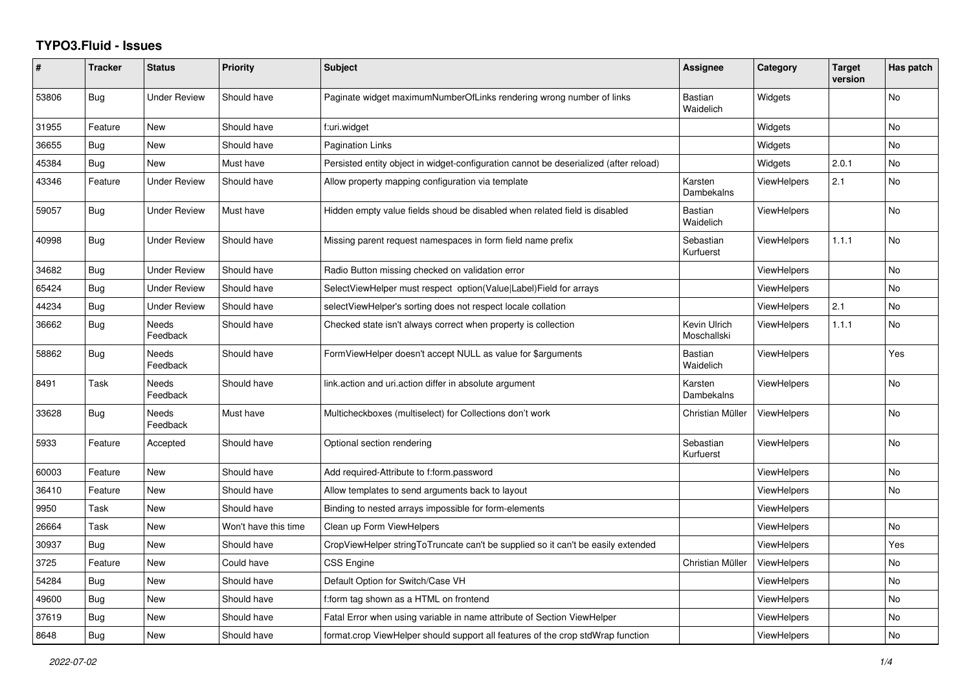## **TYPO3.Fluid - Issues**

| #     | <b>Tracker</b> | <b>Status</b>       | <b>Priority</b>      | <b>Subject</b>                                                                        | Assignee                    | Category           | <b>Target</b><br>version | Has patch      |
|-------|----------------|---------------------|----------------------|---------------------------------------------------------------------------------------|-----------------------------|--------------------|--------------------------|----------------|
| 53806 | <b>Bug</b>     | <b>Under Review</b> | Should have          | Paginate widget maximumNumberOfLinks rendering wrong number of links                  | <b>Bastian</b><br>Waidelich | Widgets            |                          | No             |
| 31955 | Feature        | New                 | Should have          | f:uri.widget                                                                          |                             | Widgets            |                          | No             |
| 36655 | <b>Bug</b>     | <b>New</b>          | Should have          | <b>Pagination Links</b>                                                               |                             | Widgets            |                          | <b>No</b>      |
| 45384 | <b>Bug</b>     | New                 | Must have            | Persisted entity object in widget-configuration cannot be deserialized (after reload) |                             | Widgets            | 2.0.1                    | No             |
| 43346 | Feature        | <b>Under Review</b> | Should have          | Allow property mapping configuration via template                                     | Karsten<br>Dambekalns       | <b>ViewHelpers</b> | 2.1                      | No             |
| 59057 | Bug            | Under Review        | Must have            | Hidden empty value fields shoud be disabled when related field is disabled            | <b>Bastian</b><br>Waidelich | <b>ViewHelpers</b> |                          | <b>No</b>      |
| 40998 | Bug            | Under Review        | Should have          | Missing parent request namespaces in form field name prefix                           | Sebastian<br>Kurfuerst      | ViewHelpers        | 1.1.1                    | <b>No</b>      |
| 34682 | <b>Bug</b>     | <b>Under Review</b> | Should have          | Radio Button missing checked on validation error                                      |                             | <b>ViewHelpers</b> |                          | <b>No</b>      |
| 65424 | Bug            | Under Review        | Should have          | SelectViewHelper must respect option(Value Label)Field for arrays                     |                             | <b>ViewHelpers</b> |                          | No             |
| 44234 | Bug            | Under Review        | Should have          | selectViewHelper's sorting does not respect locale collation                          |                             | ViewHelpers        | 2.1                      | <b>No</b>      |
| 36662 | Bug            | Needs<br>Feedback   | Should have          | Checked state isn't always correct when property is collection                        | Kevin Ulrich<br>Moschallski | <b>ViewHelpers</b> | 1.1.1                    | <b>No</b>      |
| 58862 | Bug            | Needs<br>Feedback   | Should have          | FormViewHelper doesn't accept NULL as value for \$arguments                           | Bastian<br>Waidelich        | ViewHelpers        |                          | Yes            |
| 8491  | Task           | Needs<br>Feedback   | Should have          | link.action and uri.action differ in absolute argument                                | Karsten<br>Dambekalns       | <b>ViewHelpers</b> |                          | <b>No</b>      |
| 33628 | Bug            | Needs<br>Feedback   | Must have            | Multicheckboxes (multiselect) for Collections don't work                              | Christian Müller            | <b>ViewHelpers</b> |                          | No             |
| 5933  | Feature        | Accepted            | Should have          | Optional section rendering                                                            | Sebastian<br>Kurfuerst      | <b>ViewHelpers</b> |                          | N <sub>o</sub> |
| 60003 | Feature        | New                 | Should have          | Add required-Attribute to f:form.password                                             |                             | <b>ViewHelpers</b> |                          | No             |
| 36410 | Feature        | New                 | Should have          | Allow templates to send arguments back to layout                                      |                             | <b>ViewHelpers</b> |                          | No             |
| 9950  | Task           | <b>New</b>          | Should have          | Binding to nested arrays impossible for form-elements                                 |                             | <b>ViewHelpers</b> |                          |                |
| 26664 | Task           | New                 | Won't have this time | Clean up Form ViewHelpers                                                             |                             | <b>ViewHelpers</b> |                          | <b>No</b>      |
| 30937 | <b>Bug</b>     | New                 | Should have          | CropViewHelper stringToTruncate can't be supplied so it can't be easily extended      |                             | <b>ViewHelpers</b> |                          | Yes            |
| 3725  | Feature        | New                 | Could have           | <b>CSS Engine</b>                                                                     | Christian Müller            | <b>ViewHelpers</b> |                          | No             |
| 54284 | <b>Bug</b>     | New                 | Should have          | Default Option for Switch/Case VH                                                     |                             | ViewHelpers        |                          | No             |
| 49600 | <b>Bug</b>     | New                 | Should have          | f:form tag shown as a HTML on frontend                                                |                             | <b>ViewHelpers</b> |                          | <b>No</b>      |
| 37619 | <b>Bug</b>     | New                 | Should have          | Fatal Error when using variable in name attribute of Section ViewHelper               |                             | <b>ViewHelpers</b> |                          | No             |
| 8648  | Bug            | New                 | Should have          | format.crop ViewHelper should support all features of the crop stdWrap function       |                             | ViewHelpers        |                          | <b>No</b>      |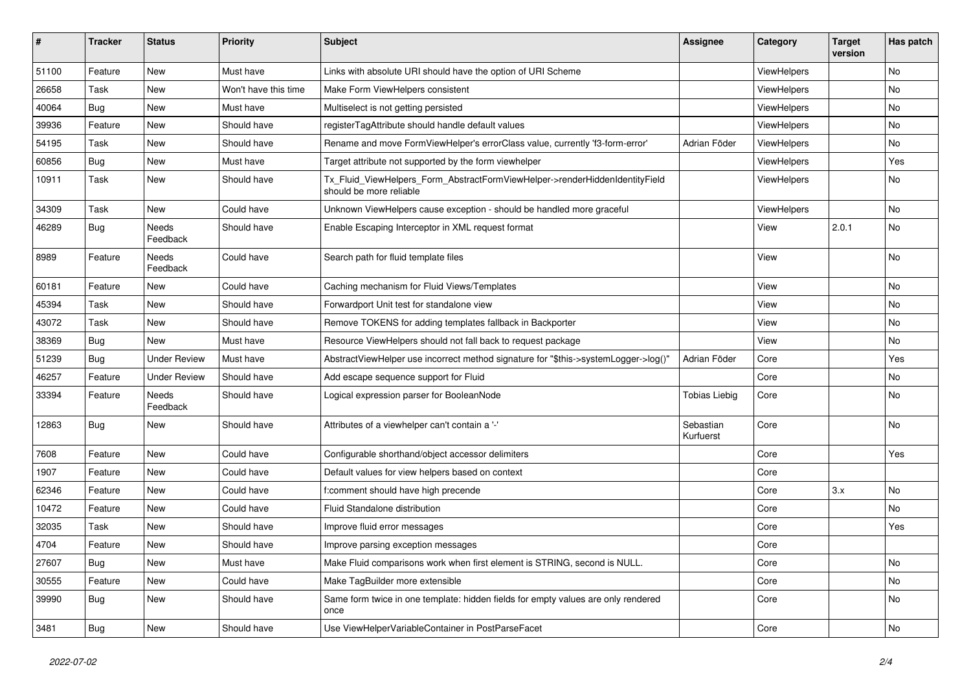| #     | <b>Tracker</b> | <b>Status</b>            | <b>Priority</b>      | <b>Subject</b>                                                                                         | Assignee               | Category    | <b>Target</b><br>version | Has patch |
|-------|----------------|--------------------------|----------------------|--------------------------------------------------------------------------------------------------------|------------------------|-------------|--------------------------|-----------|
| 51100 | Feature        | New                      | Must have            | Links with absolute URI should have the option of URI Scheme                                           |                        | ViewHelpers |                          | <b>No</b> |
| 26658 | Task           | New                      | Won't have this time | Make Form ViewHelpers consistent                                                                       |                        | ViewHelpers |                          | No        |
| 40064 | Bug            | New                      | Must have            | Multiselect is not getting persisted                                                                   |                        | ViewHelpers |                          | No        |
| 39936 | Feature        | New                      | Should have          | registerTagAttribute should handle default values                                                      |                        | ViewHelpers |                          | No        |
| 54195 | Task           | New                      | Should have          | Rename and move FormViewHelper's errorClass value, currently 'f3-form-error'                           | Adrian Föder           | ViewHelpers |                          | No        |
| 60856 | Bug            | New                      | Must have            | Target attribute not supported by the form viewhelper                                                  |                        | ViewHelpers |                          | Yes       |
| 10911 | Task           | New                      | Should have          | Tx_Fluid_ViewHelpers_Form_AbstractFormViewHelper->renderHiddenIdentityField<br>should be more reliable |                        | ViewHelpers |                          | No        |
| 34309 | Task           | New                      | Could have           | Unknown ViewHelpers cause exception - should be handled more graceful                                  |                        | ViewHelpers |                          | No        |
| 46289 | Bug            | Needs<br>Feedback        | Should have          | Enable Escaping Interceptor in XML request format                                                      |                        | View        | 2.0.1                    | No        |
| 8989  | Feature        | <b>Needs</b><br>Feedback | Could have           | Search path for fluid template files                                                                   |                        | View        |                          | <b>No</b> |
| 60181 | Feature        | New                      | Could have           | Caching mechanism for Fluid Views/Templates                                                            |                        | View        |                          | No        |
| 45394 | Task           | New                      | Should have          | Forwardport Unit test for standalone view                                                              |                        | View        |                          | No        |
| 43072 | Task           | New                      | Should have          | Remove TOKENS for adding templates fallback in Backporter                                              |                        | View        |                          | No        |
| 38369 | Bug            | New                      | Must have            | Resource ViewHelpers should not fall back to request package                                           |                        | View        |                          | No        |
| 51239 | Bug            | <b>Under Review</b>      | Must have            | AbstractViewHelper use incorrect method signature for "\$this->systemLogger->log()"                    | Adrian Föder           | Core        |                          | Yes       |
| 46257 | Feature        | <b>Under Review</b>      | Should have          | Add escape sequence support for Fluid                                                                  |                        | Core        |                          | No        |
| 33394 | Feature        | <b>Needs</b><br>Feedback | Should have          | Logical expression parser for BooleanNode                                                              | <b>Tobias Liebig</b>   | Core        |                          | No        |
| 12863 | Bug            | New                      | Should have          | Attributes of a viewhelper can't contain a '-'                                                         | Sebastian<br>Kurfuerst | Core        |                          | <b>No</b> |
| 7608  | Feature        | New                      | Could have           | Configurable shorthand/object accessor delimiters                                                      |                        | Core        |                          | Yes       |
| 1907  | Feature        | New                      | Could have           | Default values for view helpers based on context                                                       |                        | Core        |                          |           |
| 62346 | Feature        | New                      | Could have           | f:comment should have high precende                                                                    |                        | Core        | 3.x                      | No        |
| 10472 | Feature        | New                      | Could have           | <b>Fluid Standalone distribution</b>                                                                   |                        | Core        |                          | No        |
| 32035 | Task           | New                      | Should have          | Improve fluid error messages                                                                           |                        | Core        |                          | Yes       |
| 4704  | Feature        | New                      | Should have          | Improve parsing exception messages                                                                     |                        | Core        |                          |           |
| 27607 | Bug            | New                      | Must have            | Make Fluid comparisons work when first element is STRING, second is NULL.                              |                        | Core        |                          | No        |
| 30555 | Feature        | New                      | Could have           | Make TagBuilder more extensible                                                                        |                        | Core        |                          | No        |
| 39990 | Bug            | New                      | Should have          | Same form twice in one template: hidden fields for empty values are only rendered<br>once              |                        | Core        |                          | No        |
| 3481  | <b>Bug</b>     | New                      | Should have          | Use ViewHelperVariableContainer in PostParseFacet                                                      |                        | Core        |                          | No        |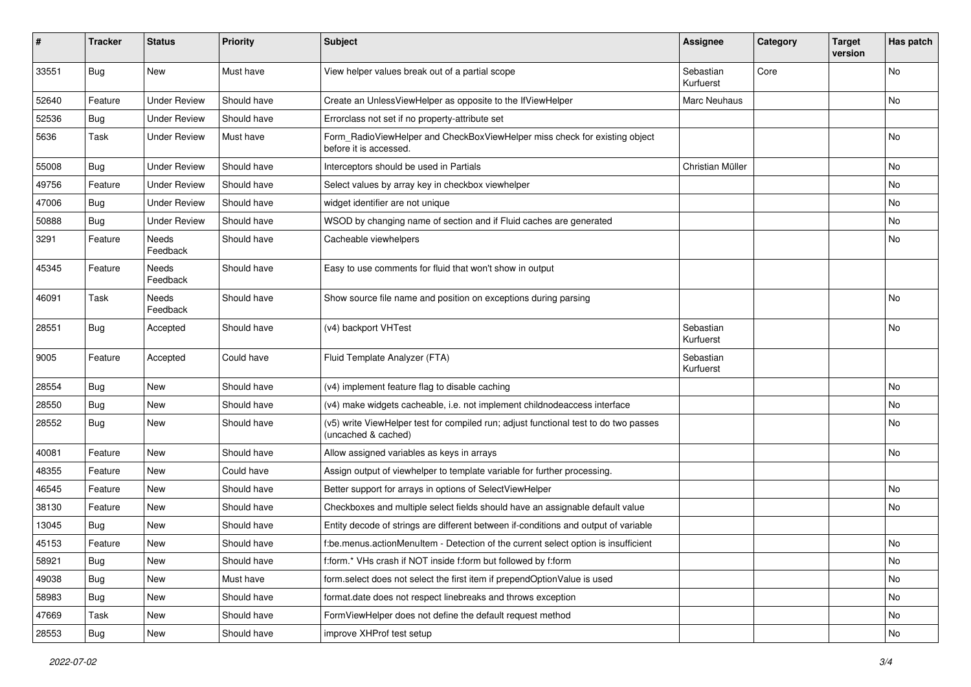| #     | <b>Tracker</b> | <b>Status</b>       | <b>Priority</b> | <b>Subject</b>                                                                                              | <b>Assignee</b>        | Category | <b>Target</b><br>version | Has patch |
|-------|----------------|---------------------|-----------------|-------------------------------------------------------------------------------------------------------------|------------------------|----------|--------------------------|-----------|
| 33551 | Bug            | New                 | Must have       | View helper values break out of a partial scope                                                             | Sebastian<br>Kurfuerst | Core     |                          | <b>No</b> |
| 52640 | Feature        | <b>Under Review</b> | Should have     | Create an UnlessViewHelper as opposite to the IfViewHelper                                                  | Marc Neuhaus           |          |                          | No        |
| 52536 | Bug            | <b>Under Review</b> | Should have     | Errorclass not set if no property-attribute set                                                             |                        |          |                          |           |
| 5636  | Task           | <b>Under Review</b> | Must have       | Form_RadioViewHelper and CheckBoxViewHelper miss check for existing object<br>before it is accessed.        |                        |          |                          | <b>No</b> |
| 55008 | <b>Bug</b>     | <b>Under Review</b> | Should have     | Interceptors should be used in Partials                                                                     | Christian Müller       |          |                          | No        |
| 49756 | Feature        | <b>Under Review</b> | Should have     | Select values by array key in checkbox viewhelper                                                           |                        |          |                          | No        |
| 47006 | Bug            | <b>Under Review</b> | Should have     | widget identifier are not unique                                                                            |                        |          |                          | No        |
| 50888 | Bug            | <b>Under Review</b> | Should have     | WSOD by changing name of section and if Fluid caches are generated                                          |                        |          |                          | No        |
| 3291  | Feature        | Needs<br>Feedback   | Should have     | Cacheable viewhelpers                                                                                       |                        |          |                          | No        |
| 45345 | Feature        | Needs<br>Feedback   | Should have     | Easy to use comments for fluid that won't show in output                                                    |                        |          |                          |           |
| 46091 | Task           | Needs<br>Feedback   | Should have     | Show source file name and position on exceptions during parsing                                             |                        |          |                          | No        |
| 28551 | <b>Bug</b>     | Accepted            | Should have     | (v4) backport VHTest                                                                                        | Sebastian<br>Kurfuerst |          |                          | <b>No</b> |
| 9005  | Feature        | Accepted            | Could have      | Fluid Template Analyzer (FTA)                                                                               | Sebastian<br>Kurfuerst |          |                          |           |
| 28554 | Bug            | New                 | Should have     | (v4) implement feature flag to disable caching                                                              |                        |          |                          | <b>No</b> |
| 28550 | Bug            | New                 | Should have     | (v4) make widgets cacheable, i.e. not implement childnodeaccess interface                                   |                        |          |                          | No        |
| 28552 | Bug            | New                 | Should have     | (v5) write ViewHelper test for compiled run; adjust functional test to do two passes<br>(uncached & cached) |                        |          |                          | No        |
| 40081 | Feature        | New                 | Should have     | Allow assigned variables as keys in arrays                                                                  |                        |          |                          | <b>No</b> |
| 48355 | Feature        | New                 | Could have      | Assign output of viewhelper to template variable for further processing.                                    |                        |          |                          |           |
| 46545 | Feature        | New                 | Should have     | Better support for arrays in options of SelectViewHelper                                                    |                        |          |                          | No        |
| 38130 | Feature        | New                 | Should have     | Checkboxes and multiple select fields should have an assignable default value                               |                        |          |                          | No        |
| 13045 | Bug            | New                 | Should have     | Entity decode of strings are different between if-conditions and output of variable                         |                        |          |                          |           |
| 45153 | Feature        | New                 | Should have     | f:be.menus.actionMenuItem - Detection of the current select option is insufficient                          |                        |          |                          | No        |
| 58921 | <b>Bug</b>     | New                 | Should have     | f:form.* VHs crash if NOT inside f:form but followed by f:form                                              |                        |          |                          | No        |
| 49038 | <b>Bug</b>     | New                 | Must have       | form.select does not select the first item if prependOptionValue is used                                    |                        |          |                          | No        |
| 58983 | <b>Bug</b>     | New                 | Should have     | format.date does not respect linebreaks and throws exception                                                |                        |          |                          | No        |
| 47669 | Task           | New                 | Should have     | FormViewHelper does not define the default request method                                                   |                        |          |                          | No        |
| 28553 | <b>Bug</b>     | New                 | Should have     | improve XHProf test setup                                                                                   |                        |          |                          | No        |